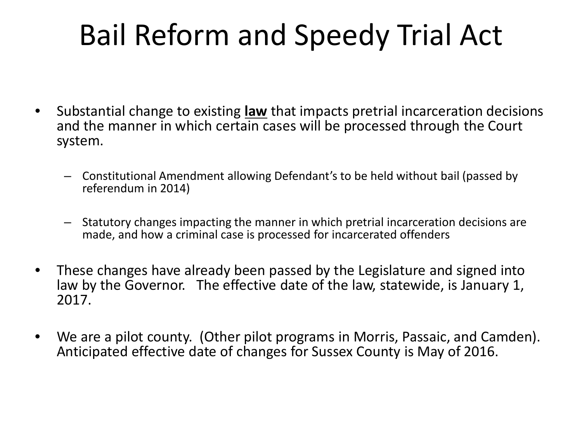## Bail Reform and Speedy Trial Act

- Substantial change to existing **law** that impacts pretrial incarceration decisions and the manner in which certain cases will be processed through the Court system.
	- Constitutional Amendment allowing Defendant's to be held without bail (passed by referendum in 2014)
	- Statutory changes impacting the manner in which pretrial incarceration decisions are made, and how a criminal case is processed for incarcerated offenders
- These changes have already been passed by the Legislature and signed into law by the Governor. The effective date of the law, statewide, is January 1, 2017.
- We are a pilot county. (Other pilot programs in Morris, Passaic, and Camden). Anticipated effective date of changes for Sussex County is May of 2016.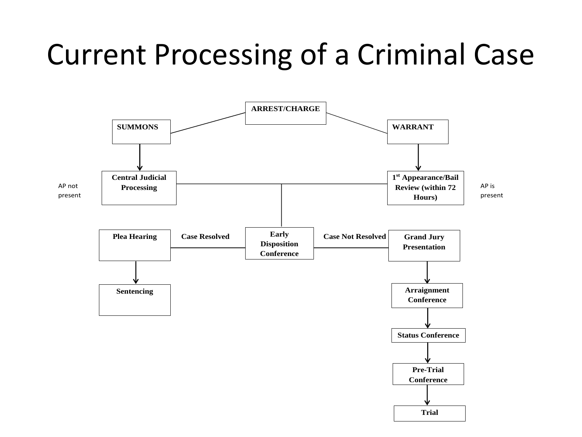## Current Processing of a Criminal Case

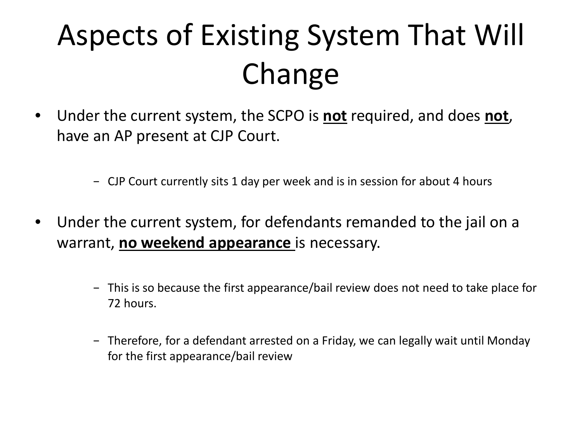## Aspects of Existing System That Will Change

- Under the current system, the SCPO is **not** required, and does **not**, have an AP present at CJP Court.
	- − CJP Court currently sits 1 day per week and is in session for about 4 hours
- Under the current system, for defendants remanded to the jail on a warrant, **no weekend appearance** is necessary.
	- − This is so because the first appearance/bail review does not need to take place for 72 hours.
	- − Therefore, for a defendant arrested on a Friday, we can legally wait until Monday for the first appearance/bail review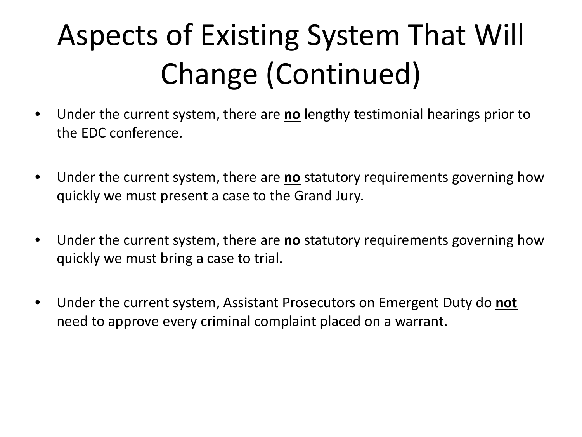## Aspects of Existing System That Will Change (Continued)

- Under the current system, there are **no** lengthy testimonial hearings prior to the EDC conference.
- Under the current system, there are **no** statutory requirements governing how quickly we must present a case to the Grand Jury.
- Under the current system, there are **no** statutory requirements governing how quickly we must bring a case to trial.
- Under the current system, Assistant Prosecutors on Emergent Duty do **not**  need to approve every criminal complaint placed on a warrant.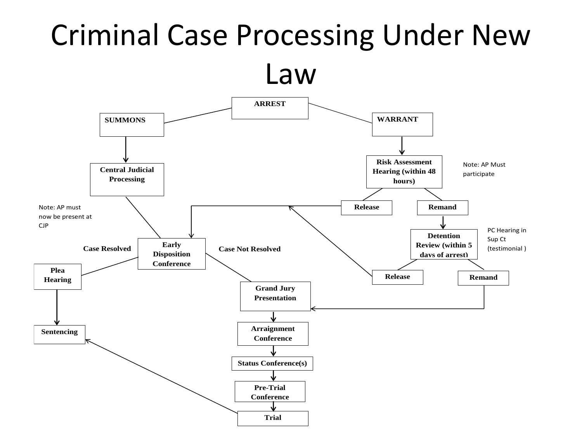# Criminal Case Processing Under New

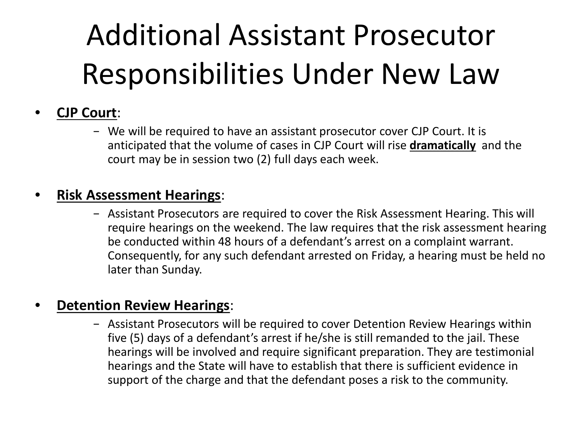## Additional Assistant Prosecutor Responsibilities Under New Law

### • **CJP Court**:

− We will be required to have an assistant prosecutor cover CJP Court. It is anticipated that the volume of cases in CJP Court will rise **dramatically** and the court may be in session two (2) full days each week.

### • **Risk Assessment Hearings**:

− Assistant Prosecutors are required to cover the Risk Assessment Hearing. This will require hearings on the weekend. The law requires that the risk assessment hearing be conducted within 48 hours of a defendant's arrest on a complaint warrant. Consequently, for any such defendant arrested on Friday, a hearing must be held no later than Sunday.

### • **Detention Review Hearings**:

− Assistant Prosecutors will be required to cover Detention Review Hearings within five (5) days of a defendant's arrest if he/she is still remanded to the jail. These hearings will be involved and require significant preparation. They are testimonial hearings and the State will have to establish that there is sufficient evidence in support of the charge and that the defendant poses a risk to the community.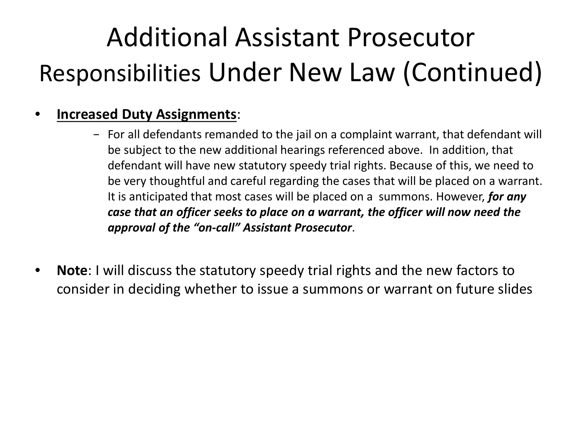## Additional Assistant Prosecutor Responsibilities Under New Law (Continued)

### • **Increased Duty Assignments**:

- − For all defendants remanded to the jail on a complaint warrant, that defendant will be subject to the new additional hearings referenced above. In addition, that defendant will have new statutory speedy trial rights. Because of this, we need to be very thoughtful and careful regarding the cases that will be placed on a warrant. It is anticipated that most cases will be placed on a summons. However, *for any case that an officer seeks to place on a warrant, the officer will now need the approval of the "on-call" Assistant Prosecutor*.
- **Note**: I will discuss the statutory speedy trial rights and the new factors to consider in deciding whether to issue a summons or warrant on future slides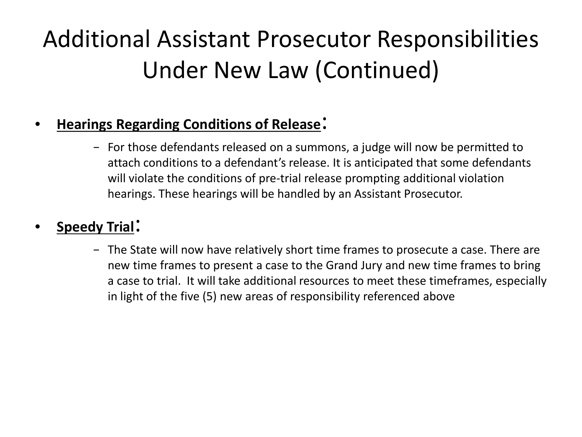### Additional Assistant Prosecutor Responsibilities Under New Law (Continued)

### • **Hearings Regarding Conditions of Release**:

− For those defendants released on a summons, a judge will now be permitted to attach conditions to a defendant's release. It is anticipated that some defendants will violate the conditions of pre-trial release prompting additional violation hearings. These hearings will be handled by an Assistant Prosecutor.

### • **Speedy Trial**:

− The State will now have relatively short time frames to prosecute a case. There are new time frames to present a case to the Grand Jury and new time frames to bring a case to trial. It will take additional resources to meet these timeframes, especially in light of the five (5) new areas of responsibility referenced above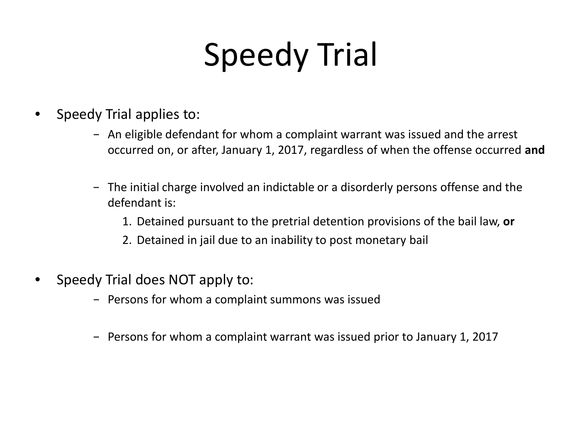# Speedy Trial

- Speedy Trial applies to:
	- − An eligible defendant for whom a complaint warrant was issued and the arrest occurred on, or after, January 1, 2017, regardless of when the offense occurred **and**
	- − The initial charge involved an indictable or a disorderly persons offense and the defendant is:
		- 1. Detained pursuant to the pretrial detention provisions of the bail law, **or**
		- 2. Detained in jail due to an inability to post monetary bail
- Speedy Trial does NOT apply to:
	- − Persons for whom a complaint summons was issued
	- − Persons for whom a complaint warrant was issued prior to January 1, 2017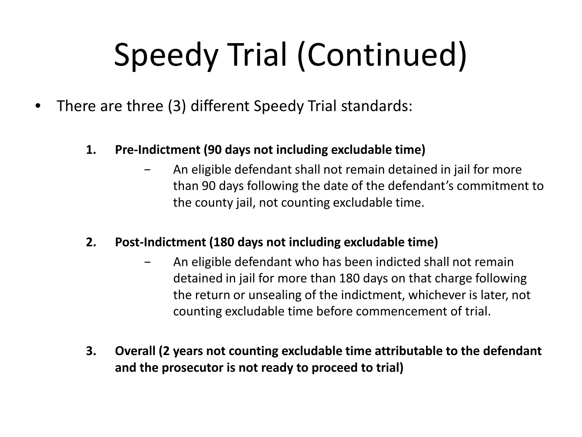# Speedy Trial (Continued)

- There are three (3) different Speedy Trial standards:
	- **1. Pre-Indictment (90 days not including excludable time)**
		- − An eligible defendant shall not remain detained in jail for more than 90 days following the date of the defendant's commitment to the county jail, not counting excludable time.
	- **2. Post-Indictment (180 days not including excludable time)**
		- − An eligible defendant who has been indicted shall not remain detained in jail for more than 180 days on that charge following the return or unsealing of the indictment, whichever is later, not counting excludable time before commencement of trial.
	- **3. Overall (2 years not counting excludable time attributable to the defendant and the prosecutor is not ready to proceed to trial)**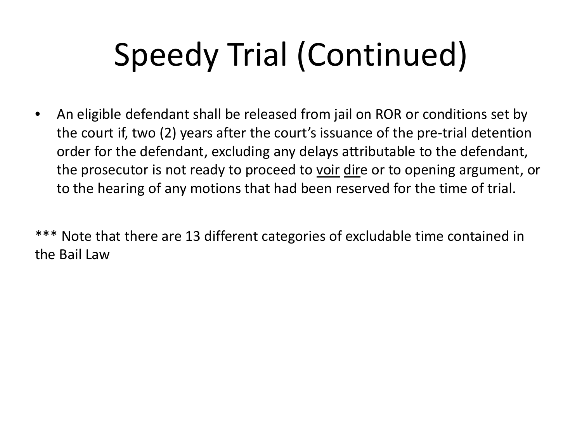# Speedy Trial (Continued)

• An eligible defendant shall be released from jail on ROR or conditions set by the court if, two (2) years after the court's issuance of the pre-trial detention order for the defendant, excluding any delays attributable to the defendant, the prosecutor is not ready to proceed to voir dire or to opening argument, or to the hearing of any motions that had been reserved for the time of trial.

\*\*\* Note that there are 13 different categories of excludable time contained in the Bail Law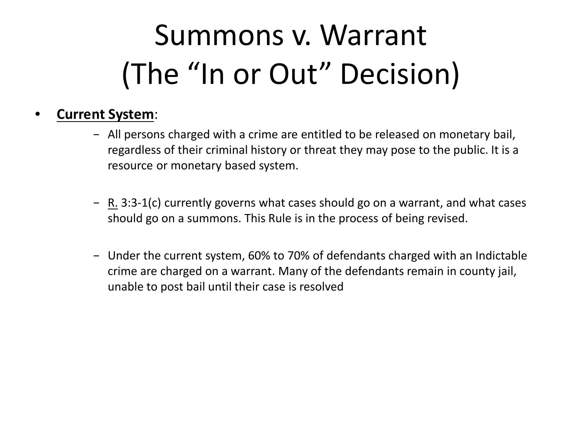## Summons v. Warrant (The "In or Out" Decision)

### • **Current System**:

- − All persons charged with a crime are entitled to be released on monetary bail, regardless of their criminal history or threat they may pose to the public. It is a resource or monetary based system.
- − R. 3:3-1(c) currently governs what cases should go on a warrant, and what cases should go on a summons. This Rule is in the process of being revised.
- − Under the current system, 60% to 70% of defendants charged with an Indictable crime are charged on a warrant. Many of the defendants remain in county jail, unable to post bail until their case is resolved